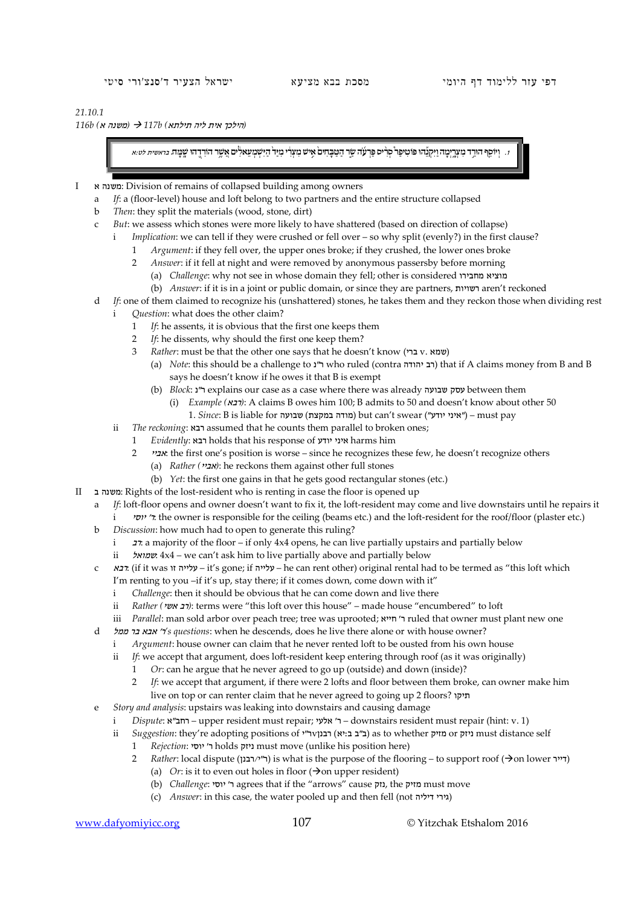## *21.10.1*

*(*הילכך אית ליה תילתא*) b117 )* משנה א*) b116*

.1וְיוֹסֵף הוּדַד מִצְרֵיִמָה וַיִּקְגֶהוּ פּוֹטִיפַר סְרָים פַּרְעָה שַׁר הַטַּבַחִים אֵיש מַצְרִי מַיַּר הַיִּשְׁמַצְאלִים אֲשֶׁר הוּרְדֵהוּ שֵׁמַּה. מִיאשית לט:א

- I א משנה: Division of remains of collapsed building among owners
	- a *If*: a (floor-level) house and loft belong to two partners and the entire structure collapsed
	- b *Then*: they split the materials (wood, stone, dirt)
	- c *But*: we assess which stones were more likely to have shattered (based on direction of collapse)
		- i *Implication*: we can tell if they were crushed or fell over so why split (evenly?) in the first clause?
			- 1 *Argument*: if they fell over, the upper ones broke; if they crushed, the lower ones broke
			- 2 *Answer*: if it fell at night and were removed by anonymous passersby before morning (a) *Challenge*: why not see in whose domain they fell; other is considered מחבירו מוציא
				- (b) *Answer*: if it is in a joint or public domain, or since they are partners, רשויות aren't reckoned
	- d *If*: one of them claimed to recognize his (unshattered) stones, he takes them and they reckon those when dividing rest
	- i *Question*: what does the other claim?
		- 1 *If*: he assents, it is obvious that the first one keeps them
		- 2 *If*: he dissents, why should the first one keep them?
		- 3 *Rather*: must be that the other one says that he doesn't know (שמא . ע $v.$  שמא
			- (a) *Note*: this should be a challenge to נ"ר who ruled (contra יהודה רב (that if A claims money from B and B says he doesn't know if he owes it that B is exempt
			- (b) *Block*: נ"ר explains our case as a case where there was already שבועה עסק between them
				- (i) *Example (*רבא*(*: A claims B owes him 100; B admits to 50 and doesn't know about other 50 1. *Since*: B is liable for שבועה) במקצת מודה (but can't swear ("יודע איני – ("must pay
		- ii *The reckoning*: רבא assumed that he counts them parallel to broken ones;
			- 1 *Evidently*: רבא holds that his response of יודע איני harms him
			- 2 אביי: the first one's position is worse since he recognizes these few, he doesn't recognize others
				- (a) *Rather (אביי*): he reckons them against other full stones
				- (b) *Yet*: the first one gains in that he gets good rectangular stones (etc.)
- II ב משנה: Rights of the lost-resident who is renting in case the floor is opened up
	- a *If*: loft-floor opens and owner doesn't want to fix it, the loft-resident may come and live downstairs until he repairs it
		- i יוסי' ר: the owner is responsible for the ceiling (beams etc.) and the loft-resident for the roof/floor (plaster etc.)
	- b *Discussion*: how much had to open to generate this ruling?
		- i  $\tau$  a majority of the floor if only 4x4 opens, he can live partially upstairs and partially below
		- ii שמואל: 4x4 we can't ask him to live partially above and partially below
	- c רבא:) if it was זו עלייה it's gone; if עלייה he can rent other) original rental had to be termed as "this loft which
		- I'm renting to you -if it's up, stay there; if it comes down, come down with it"
		- i *Challenge*: then it should be obvious that he can come down and live there
		- ii *Rather (יב אשי*): terms were "this loft over this house" made house "encumbered" to loft
		- iii *Parallel*: man sold arbor over peach tree; tree was uprooted; ר' חייא 'r ruled that owner must plant new one
	- d ממל בר אבא' ר*'s questions*: when he descends, does he live there alone or with house owner?
		- i *Argument*: house owner can claim that he never rented loft to be ousted from his own house
		- ii *If*: we accept that argument, does loft-resident keep entering through roof (as it was originally)
			- 1 *Or*: can he argue that he never agreed to go up (outside) and down (inside)?
			- 2 *If*: we accept that argument, if there were 2 lofts and floor between them broke, can owner make him live on top or can renter claim that he never agreed to going up 2 floors? תיקו
	- e *Story and analysis*: upstairs was leaking into downstairs and causing damage
		- i *Dispute*: רחב"א upper resident must repair; אלעי $r$  downstairs resident must repair (hint: v. 1)
		- ii *Suggestion*: they're adopting positions of ובנן וואס (ב"ב ב"ג ב"ג) הבנן (או"ב ב"ב"ב") as to whether מזיק or
			- 1 *Rejection*: יוסי' ר holds ניזק must move (unlike his position here)
			- 2 *Rather*: local dispute (דייר יבנן) is what is the purpose of the flooring to support roof ( $\rightarrow$ on lower)
				- (a) *Or*: is it to even out holes in floor  $(\rightarrow)$  on upper resident)
				- (b) *Challenge*: יוסי $\alpha$  agrees that if the "arrows" cause נזק, the מזיק, the נזק
				- (c) *Answer*: in this case, the water pooled up and then fell (not גירי דיליה)

www.dafyomiyicc.org 107 © Yitzchak Etshalom 2016